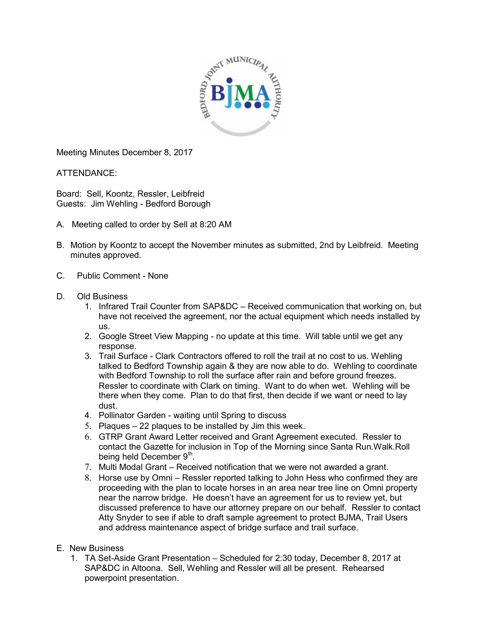

Meeting Minutes December 8, 2017

ATTENDANCE:

Board: Sell, Koontz, Ressler, Leibfreid Guests: Jim Wehling - Bedford Borough

- A. Meeting called to order by Sell at 8:20 AM
- B. Motion by Koontz to accept the November minutes as submitted, 2nd by Leibfreid. Meeting minutes approved.
- C. Public Comment None
- D. Old Business
	- 1. Infrared Trail Counter from SAP&DC Received communication that working on, but have not received the agreement, nor the actual equipment which needs installed by us.
	- 2. Google Street View Mapping no update at this time. Will table until we get any response.
	- 3. Trail Surface Clark Contractors offered to roll the trail at no cost to us. Wehling talked to Bedford Township again & they are now able to do. Wehling to coordinate with Bedford Township to roll the surface after rain and before ground freezes. Ressler to coordinate with Clark on timing. Want to do when wet. Wehling will be there when they come. Plan to do that first, then decide if we want or need to lay dust.
	- 4. Pollinator Garden waiting until Spring to discuss
	- 5. Plaques 22 plaques to be installed by Jim this week.
	- 6. GTRP Grant Award Letter received and Grant Agreement executed. Ressler to contact the Gazette for inclusion in Top of the Morning since Santa Run.Walk.Roll being held December  $9^{\text{th}}$ .
	- 7. Multi Modal Grant Received notification that we were not awarded a grant.
	- 8. Horse use by Omni Ressler reported talking to John Hess who confirmed they are proceeding with the plan to locate horses in an area near tree line on Omni property near the narrow bridge. He doesn't have an agreement for us to review yet, but discussed preference to have our attorney prepare on our behalf. Ressler to contact Atty Snyder to see if able to draft sample agreement to protect BJMA, Trail Users and address maintenance aspect of bridge surface and trail surface.
- E. New Business
	- 1. TA Set-Aside Grant Presentation Scheduled for 2:30 today, December 8, 2017 at SAP&DC in Altoona. Sell, Wehling and Ressler will all be present. Rehearsed powerpoint presentation.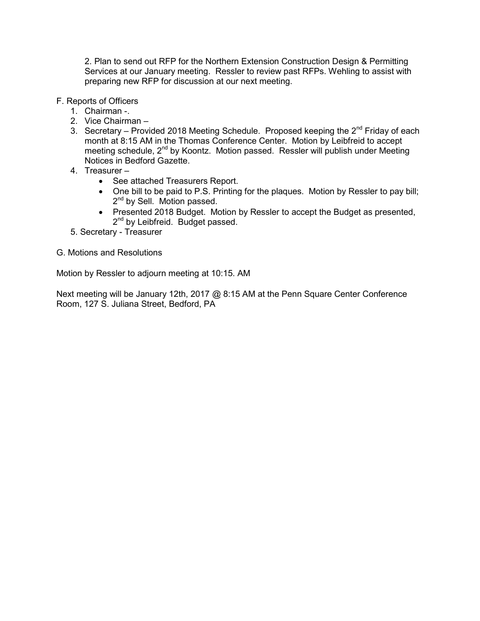2. Plan to send out RFP for the Northern Extension Construction Design & Permitting Services at our January meeting. Ressler to review past RFPs. Wehling to assist with preparing new RFP for discussion at our next meeting.

- F. Reports of Officers
	- 1. Chairman -.
	- 2. Vice Chairman –
	- 3. Secretary Provided 2018 Meeting Schedule. Proposed keeping the 2<sup>nd</sup> Friday of each month at 8:15 AM in the Thomas Conference Center. Motion by Leibfreid to accept meeting schedule, 2<sup>nd</sup> by Koontz. Motion passed. Ressler will publish under Meeting Notices in Bedford Gazette.
	- 4. Treasurer
		- See attached Treasurers Report.
		- One bill to be paid to P.S. Printing for the plaques. Motion by Ressler to pay bill; 2<sup>nd</sup> by Sell. Motion passed.
		- Presented 2018 Budget. Motion by Ressler to accept the Budget as presented, 2<sup>nd</sup> by Leibfreid. Budget passed.
	- 5. Secretary Treasurer
- G. Motions and Resolutions

Motion by Ressler to adjourn meeting at 10:15. AM

Next meeting will be January 12th, 2017 @ 8:15 AM at the Penn Square Center Conference Room, 127 S. Juliana Street, Bedford, PA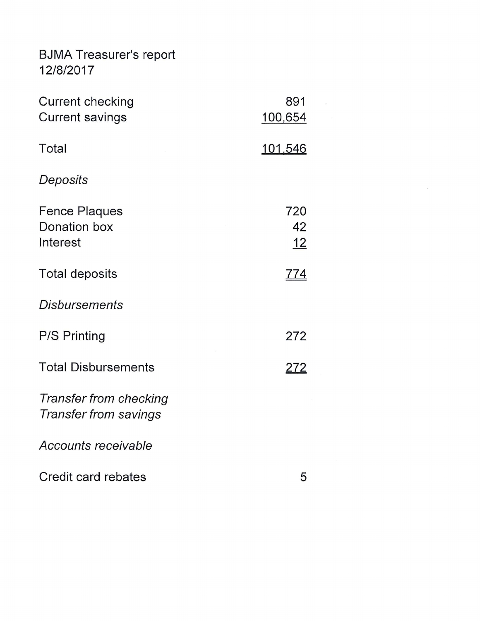**BJMA Treasurer's report** 12/8/2017

| <b>Current checking</b><br><b>Current savings</b>      | 891<br>100,654         |
|--------------------------------------------------------|------------------------|
| Total                                                  | <u>101,546</u>         |
| Deposits                                               |                        |
| <b>Fence Plaques</b><br>Donation box<br>Interest       | 720<br>42<br><u>12</u> |
| <b>Total deposits</b>                                  | <u>774</u>             |
| <b>Disbursements</b>                                   |                        |
| <b>P/S Printing</b>                                    | 272                    |
| <b>Total Disbursements</b>                             | <u> 272</u>            |
| Transfer from checking<br><b>Transfer from savings</b> |                        |
| Accounts receivable                                    |                        |
| Credit card rebates                                    | 5                      |

 $\overline{\phantom{a}}$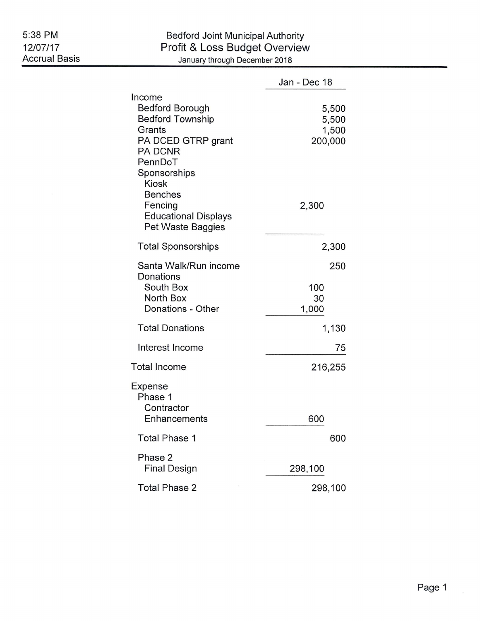## Bedford Joint Municipal Authority<br>Profit & Loss Budget Overview January through December 2018

|                                                                                                                                                                                                                                           | Jan - Dec 18                                |
|-------------------------------------------------------------------------------------------------------------------------------------------------------------------------------------------------------------------------------------------|---------------------------------------------|
| Income<br><b>Bedford Borough</b><br><b>Bedford Township</b><br>Grants<br>PA DCED GTRP grant<br><b>PA DCNR</b><br>PennDoT<br>Sponsorships<br><b>Kiosk</b><br><b>Benches</b><br>Fencing<br><b>Educational Displays</b><br>Pet Waste Baggies | 5,500<br>5,500<br>1,500<br>200,000<br>2,300 |
| <b>Total Sponsorships</b>                                                                                                                                                                                                                 | 2,300                                       |
| Santa Walk/Run income<br>Donations<br>South Box<br>North Box<br>Donations - Other                                                                                                                                                         | 250<br>100<br>30<br>1,000                   |
| <b>Total Donations</b>                                                                                                                                                                                                                    | 1,130                                       |
| Interest Income                                                                                                                                                                                                                           | 75                                          |
| <b>Total Income</b>                                                                                                                                                                                                                       | 216,255                                     |
| Expense<br>Phase 1<br>Contractor<br>Enhancements                                                                                                                                                                                          | 600                                         |
| <b>Total Phase 1</b>                                                                                                                                                                                                                      | 600                                         |
| Phase 2<br><b>Final Design</b>                                                                                                                                                                                                            | 298,100                                     |
| <b>Total Phase 2</b>                                                                                                                                                                                                                      | 298,100                                     |